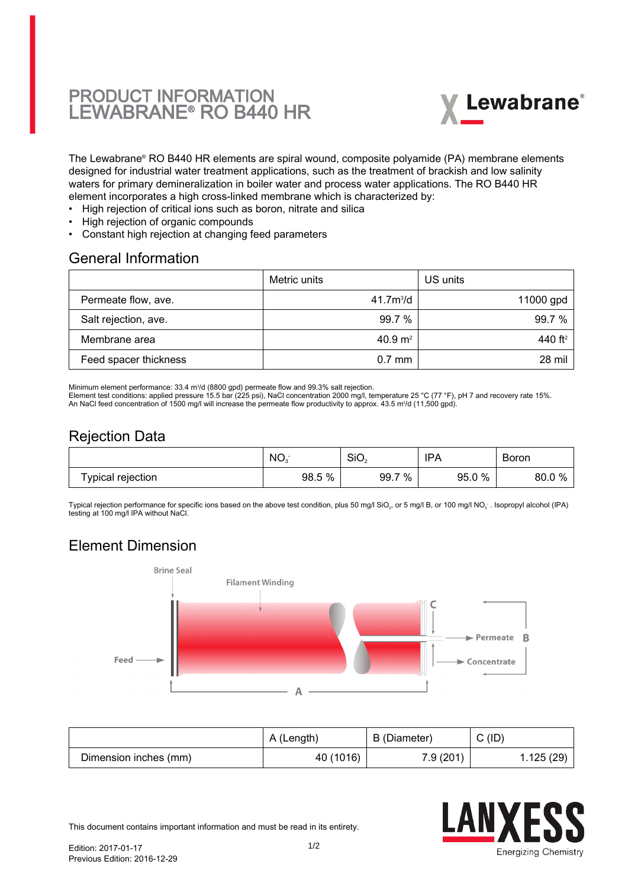# PRODUCT INFORMATION LEWABRANE® RO B440 HR



The Lewabrane® RO B440 HR elements are spiral wound, composite polyamide (PA) membrane elements designed for industrial water treatment applications, such as the treatment of brackish and low salinity waters for primary demineralization in boiler water and process water applications. The RO B440 HR element incorporates a high cross-linked membrane which is characterized by:

- High rejection of critical ions such as boron, nitrate and silica
- High rejection of organic compounds
- Constant high rejection at changing feed parameters

#### General Information

|                       | Metric units       | US units            |
|-----------------------|--------------------|---------------------|
| Permeate flow, ave.   | $41.7m^{3}/d$      | 11000 gpd           |
| Salt rejection, ave.  | 99.7%              | 99.7%               |
| Membrane area         | $40.9 \text{ m}^2$ | 440 ft <sup>2</sup> |
| Feed spacer thickness | $0.7$ mm           | 28 mil              |

Minimum element performance: 33.4 m<sup>3</sup> /d (8800 gpd) permeate flow and 99.3% salt rejection.

Element test conditions: applied pressure 15.5 bar (225 psi), NaCl concentration 2000 mg/l, temperature 25 °C (77 °F), pH 7 and recovery rate 15%.

An NaCl feed concentration of 1500 mg/l will increase the permeate flow productivity to approx. 43.5 m<sup>3</sup>/d (11,500 gpd).

### Rejection Data

|                   | NO.       | SiO <sub>2</sub>  | IPA           | Boron      |
|-------------------|-----------|-------------------|---------------|------------|
| Typical rejection | %<br>98.5 | $\%$<br>–<br>99.7 | $0\%$<br>95.0 | 80.0<br>70 |

Typical rejection performance for specific ions based on the above test condition, plus 50 mg/l SiO $_2$ , or 5 mg/l B, or 100 mg/l NO $_3$  . Isopropyl alcohol (IPA) testing at 100 mg/l IPA without NaCl.

## Element Dimension



|                       | A (Length) | B (Diameter) | (ID)<br>ັ |
|-----------------------|------------|--------------|-----------|
| Dimension inches (mm) | 40 (1016)  | 7.9(201)     | 1.125(29) |



This document contains important information and must be read in its entirety.